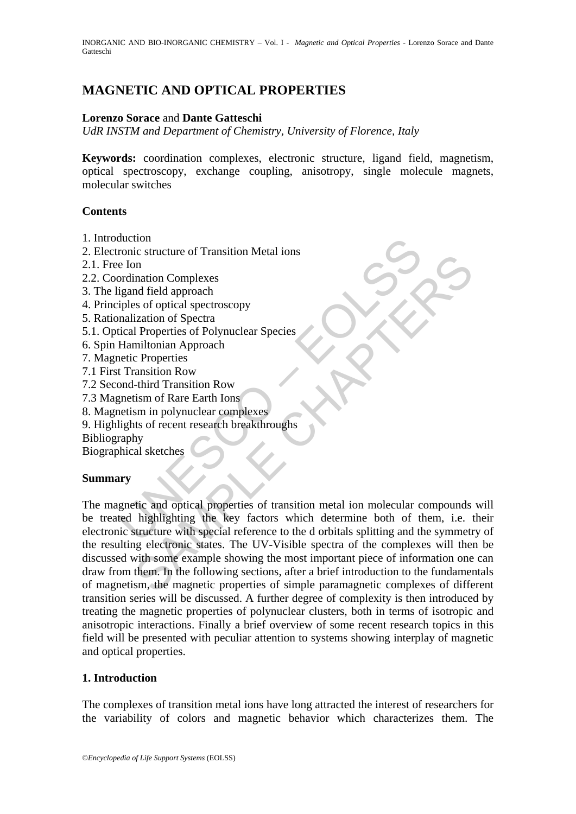# **MAGNETIC AND OPTICAL PROPERTIES**

# **Lorenzo Sorace** and **Dante Gatteschi**

*UdR INSTM and Department of Chemistry, University of Florence, Italy* 

**Keywords:** coordination complexes, electronic structure, ligand field, magnetism, optical spectroscopy, exchange coupling, anisotropy, single molecule magnets, molecular switches

# **Contents**

- 1. Introduction
- 2. Electronic structure of Transition Metal ions
- 2.1. Free Ion
- 2.2. Coordination Complexes
- 3. The ligand field approach
- 4. Principles of optical spectroscopy
- 5. Rationalization of Spectra
- 5.1. Optical Properties of Polynuclear Species
- 6. Spin Hamiltonian Approach
- 7. Magnetic Properties
- 7.1 First Transition Row
- 7.2 Second-third Transition Row
- 7.3 Magnetism of Rare Earth Ions
- 8. Magnetism in polynuclear complexes
- 9. Highlights of recent research breakthroughs
- Bibliography

Biographical sketches

# **Summary**

duction<br>
e lon<br>
ce form<br>
de lon<br>
ordination Complexes<br>
igand field approach<br>
iples of optical spectroscopy<br>
malization of Spectra<br>
Hamiltonian Approach<br>
Hamiltonian Approach<br>
entity Fransition Row<br>
and-third Transition Row Example a successor<br>
and field approach<br>
and field approach<br>
and field approach<br>
and field approach<br>
intitionian Approach<br>
inclusion of Spectra<br>
1 Properties of Polynuclear Species<br>
chapter complexes<br>
chapter and polynucle The magnetic and optical properties of transition metal ion molecular compounds will be treated highlighting the key factors which determine both of them, i.e. their electronic structure with special reference to the d orbitals splitting and the symmetry of the resulting electronic states. The UV-Visible spectra of the complexes will then be discussed with some example showing the most important piece of information one can draw from them. In the following sections, after a brief introduction to the fundamentals of magnetism, the magnetic properties of simple paramagnetic complexes of different transition series will be discussed. A further degree of complexity is then introduced by treating the magnetic properties of polynuclear clusters, both in terms of isotropic and anisotropic interactions. Finally a brief overview of some recent research topics in this field will be presented with peculiar attention to systems showing interplay of magnetic and optical properties.

# **1. Introduction**

The complexes of transition metal ions have long attracted the interest of researchers for the variability of colors and magnetic behavior which characterizes them. The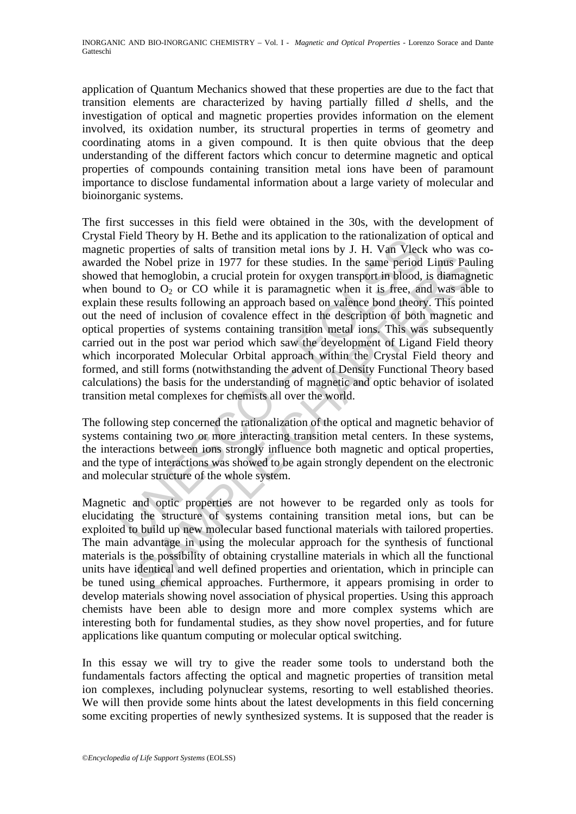application of Quantum Mechanics showed that these properties are due to the fact that transition elements are characterized by having partially filled *d* shells, and the investigation of optical and magnetic properties provides information on the element involved, its oxidation number, its structural properties in terms of geometry and coordinating atoms in a given compound. It is then quite obvious that the deep understanding of the different factors which concur to determine magnetic and optical properties of compounds containing transition metal ions have been of paramount importance to disclose fundamental information about a large variety of molecular and bioinorganic systems.

Freed meory by 1. Exter and as approach of the rationalizzation<br>ic properties of salts of transition metal ions by J. H. Van Vlec<br>ic properties of salts of transition metal ions by J. H. Van Vlec<br>that hemoglobin, a crucia ie Nobel prize in 1977 for these studies. In the same period Linus Paul encoded prize in 1977 for these studies. In the same period Linus Paul to O<sub>2</sub> or CO while it is paramagete when it is free, and was able to  $\alpha$  be a The first successes in this field were obtained in the 30s, with the development of Crystal Field Theory by H. Bethe and its application to the rationalization of optical and magnetic properties of salts of transition metal ions by J. H. Van Vleck who was coawarded the Nobel prize in 1977 for these studies. In the same period Linus Pauling showed that hemoglobin, a crucial protein for oxygen transport in blood, is diamagnetic when bound to  $O_2$  or CO while it is paramagnetic when it is free, and was able to explain these results following an approach based on valence bond theory. This pointed out the need of inclusion of covalence effect in the description of both magnetic and optical properties of systems containing transition metal ions. This was subsequently carried out in the post war period which saw the development of Ligand Field theory which incorporated Molecular Orbital approach within the Crystal Field theory and formed, and still forms (notwithstanding the advent of Density Functional Theory based calculations) the basis for the understanding of magnetic and optic behavior of isolated transition metal complexes for chemists all over the world.

The following step concerned the rationalization of the optical and magnetic behavior of systems containing two or more interacting transition metal centers. In these systems, the interactions between ions strongly influence both magnetic and optical properties, and the type of interactions was showed to be again strongly dependent on the electronic and molecular structure of the whole system.

Magnetic and optic properties are not however to be regarded only as tools for elucidating the structure of systems containing transition metal ions, but can be exploited to build up new molecular based functional materials with tailored properties. The main advantage in using the molecular approach for the synthesis of functional materials is the possibility of obtaining crystalline materials in which all the functional units have identical and well defined properties and orientation, which in principle can be tuned using chemical approaches. Furthermore, it appears promising in order to develop materials showing novel association of physical properties. Using this approach chemists have been able to design more and more complex systems which are interesting both for fundamental studies, as they show novel properties, and for future applications like quantum computing or molecular optical switching.

In this essay we will try to give the reader some tools to understand both the fundamentals factors affecting the optical and magnetic properties of transition metal ion complexes, including polynuclear systems, resorting to well established theories. We will then provide some hints about the latest developments in this field concerning some exciting properties of newly synthesized systems. It is supposed that the reader is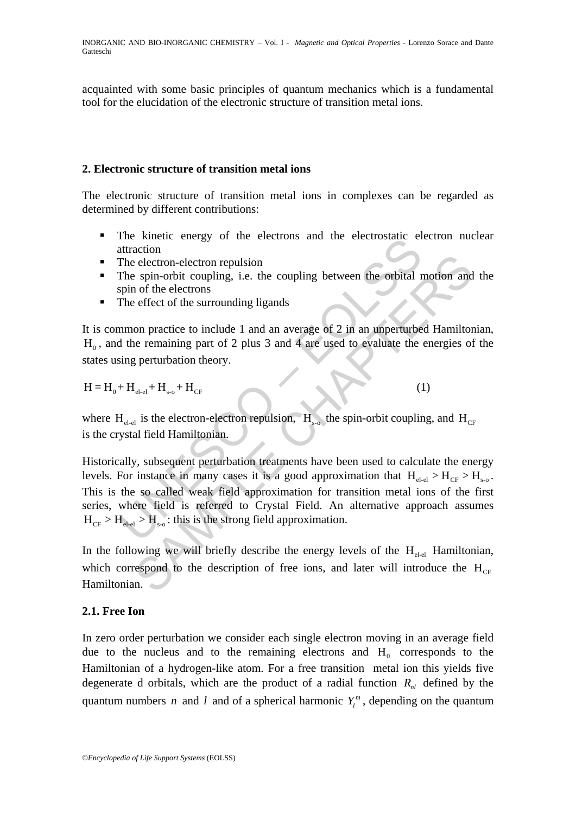acquainted with some basic principles of quantum mechanics which is a fundamental tool for the elucidation of the electronic structure of transition metal ions.

# **2. Electronic structure of transition metal ions**

The electronic structure of transition metal ions in complexes can be regarded as determined by different contributions:

- The kinetic energy of the electrons and the electrostatic electron nuclear attraction
- The electron-electron repulsion
- The spin-orbit coupling, i.e. the coupling between the orbital motion and the spin of the electrons
- The effect of the surrounding ligands

It is common practice to include 1 and an average of 2 in an unperturbed Hamiltonian,  $H<sub>0</sub>$ , and the remaining part of 2 plus 3 and 4 are used to evaluate the energies of the states using perturbation theory.

$$
H = H_0 + H_{el \text{-}el} + H_{s \text{-}o} + H_{CF}
$$
 (1)

where  $H_{\text{el-el}}$  is the electron-electron repulsion,  $H_{\text{S-}}$  the spin-orbit coupling, and  $H_{\text{CF}}$ is the crystal field Hamiltonian.

The since energy of the electrons and the electrostant energy of the electron repulsion<br>The electron-electron repulsion<br>The spin-orbit coupling, i.e. the coupling between the orbital r<br>spin of the electrons<br>The effect of is electron-electron repulsion<br>
electron-electron repulsion<br>
espin-orbit coupling, i.e. the coupling between the orbital motion and<br>
of the electrons<br>
effect of the surrounding ligands<br>
on practice to include 1 and an ave Historically, subsequent perturbation treatments have been used to calculate the energy levels. For instance in many cases it is a good approximation that  $H_{el-el} > H_{CF} > H_{s-o}$ . This is the so called weak field approximation for transition metal ions of the first series, where field is referred to Crystal Field. An alternative approach assumes  $H_{CF} > H_{el} > H_{s}$ : this is the strong field approximation.

In the following we will briefly describe the energy levels of the  $H_{el-el}$  Hamiltonian, which correspond to the description of free ions, and later will introduce the  $H_{CF}$ Hamiltonian.

# **2.1. Free Ion**

In zero order perturbation we consider each single electron moving in an average field due to the nucleus and to the remaining electrons and  $H_0$  corresponds to the Hamiltonian of a hydrogen-like atom. For a free transition metal ion this yields five degenerate d orbitals, which are the product of a radial function  $R_{nl}$  defined by the quantum numbers *n* and *l* and of a spherical harmonic  $Y_l^m$ , depending on the quantum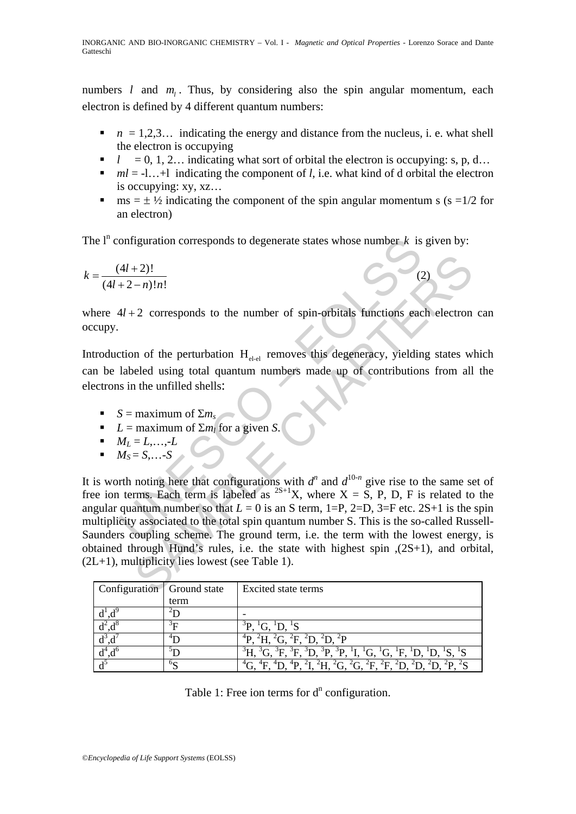numbers  $l$  and  $m_l$ . Thus, by considering also the spin angular momentum, each electron is defined by 4 different quantum numbers:

- $n = 1,2,3...$  indicating the energy and distance from the nucleus, i. e. what shell the electron is occupying
- $l = 0, 1, 2...$  indicating what sort of orbital the electron is occupying: s, p, d…
- $ml = -1...+1$  indicating the component of *l*, i.e. what kind of d orbital the electron is occupying: xy, xz…
- **m** ms =  $\pm$  1/2 indicating the component of the spin angular momentum s (s = 1/2 for an electron)

 $(2)$ 

The  $l^n$  configuration corresponds to degenerate states whose number  $k$  is given by:

$$
k = \frac{(4l+2)!}{(4l+2-n)!n!}
$$

where  $4l + 2$  corresponds to the number of spin-orbitals functions each electron can occupy.

Introduction of the perturbation  $H_{el,el}$  removes this degeneracy, yielding states which can be labeled using total quantum numbers made up of contributions from all the electrons in the unfilled shells:

- $S =$  maximum of  $\Sigma m_s$
- *L* = maximum of  $\Sigma m_l$  for a given *S*.
- $M_l = L_{m}L$
- $M_S = S, \ldots -S$

onfiguration corresponds to degenerate states whose number k is<br>  $\frac{(4l+2)!}{(2-ln)!n!}$ <br>
4l+2 corresponds to the number of spin-orbitals functions each<br>
tion of the perturbation  $H_{\text{et-el}}$  removes this degeneracy, yieldin<br> +2)!<br>
- n)!n!<br>
-2 corresponds to the number of spin-orbitals functions each electron<br>
n of the perturbation  $H_{\text{d-d}}$  removes this degeneracy, yielding states w<br>
eled using total quantum numbers made up of contributions It is worth noting here that configurations with  $d^n$  and  $d^{10-n}$  give rise to the same set of free ion terms. Each term is labeled as  $^{2S+1}X$ , where  $X = S$ , P, D, F is related to the angular quantum number so that  $L = 0$  is an S term, 1=P, 2=D, 3=F etc. 2S+1 is the spin multiplicity associated to the total spin quantum number S. This is the so-called Russell-Saunders coupling scheme. The ground term, i.e. the term with the lowest energy, is obtained through Hund's rules, i.e. the state with highest spin ,(2S+1), and orbital,  $(2L+1)$ , multiplicity lies lowest (see Table 1).

| Configuration Ground state |                | Excited state terms                                                                                                                                                                                                                                                                        |
|----------------------------|----------------|--------------------------------------------------------------------------------------------------------------------------------------------------------------------------------------------------------------------------------------------------------------------------------------------|
|                            | term           |                                                                                                                                                                                                                                                                                            |
|                            |                |                                                                                                                                                                                                                                                                                            |
|                            | $\mathcal{F}$  | ${}^{3}P, {}^{1}G, {}^{1}D, {}^{1}S$                                                                                                                                                                                                                                                       |
|                            |                | $^{2}H, {}^{2}G, {}^{2}F, {}^{2}D, {}^{2}D, {}^{2}P$                                                                                                                                                                                                                                       |
|                            |                | ${}^{3}\text{H}$ , ${}^{3}\text{G}$ , ${}^{3}\text{F}$ , ${}^{3}\text{F}$ , ${}^{3}\text{D}$ , ${}^{3}\text{P}$ , ${}^{3}\text{P}$ , ${}^{1}\text{I}$ , ${}^{1}\text{G}$ , ${}^{1}\text{G}$ , ${}^{1}\text{F}$ , ${}^{1}\text{D}$ , ${}^{1}\text{D}$ , ${}^{1}\text{S}$ , ${}^{1}\text{S}$ |
|                            | 0 <sub>C</sub> | $^{4}G, ^{4}F, ^{4}D, ^{4}P, ^{2}I, ^{2}H, ^{2}G, ^{2}G, ^{2}F, ^{2}F, ^{2}D, ^{2}D, ^{2}D, ^{2}P, ^{2}S$                                                                                                                                                                                  |

Table 1: Free ion terms for  $d^n$  configuration.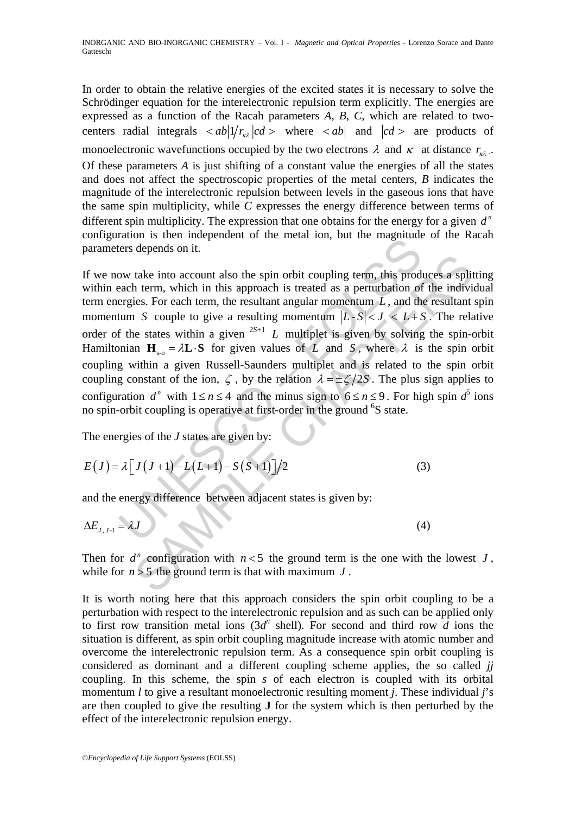In order to obtain the relative energies of the excited states it is necessary to solve the Schrödinger equation for the interelectronic repulsion term explicitly. The energies are expressed as a function of the Racah parameters *A*, *B*, *C*, which are related to twocenters radial integrals  $\langle ab | 1/r_{k\lambda} | c d \rangle$  where  $\langle ab |$  and  $| c d \rangle$  are products of monoelectronic wavefunctions occupied by the two electrons  $\lambda$  and  $\kappa$  at distance  $r_{k\lambda}$ . Of these parameters *A* is just shifting of a constant value the energies of all the states and does not affect the spectroscopic properties of the metal centers, *B* indicates the magnitude of the interelectronic repulsion between levels in the gaseous ions that have the same spin multiplicity, while *C* expresses the energy difference between terms of different spin multiplicity. The expression that one obtains for the energy for a given  $d^n$ configuration is then independent of the metal ion, but the magnitude of the Racah parameters depends on it.

Next that is then interpretated of the linear fort, but the magnitude ders depends on it.<br>
Solve take into account also the spin orbit coupling term, this produce<br>
deach term, which in this approach is treated as a pertur take into account also the spin orbit coupling term, this produces a split<br>take into account also the spin orbit coupling term, this produces a split<br>ties. For each term, the resultant angular momentum L, and the resultan If we now take into account also the spin orbit coupling term, this produces a splitting within each term, which in this approach is treated as a perturbation of the individual term energies. For each term, the resultant angular momentum *L* , and the resultant spin momentum *S* couple to give a resulting momentum  $|L-S| < J < L+S$ . The relative order of the states within a given  $2S+1$  *L* multiplet is given by solving the spin-orbit Hamiltonian  $H_{\text{so}} = \lambda L \cdot S$  for given values of *L* and *S*, where  $\lambda$  is the spin orbit coupling within a given Russell-Saunders multiplet and is related to the spin orbit coupling constant of the ion,  $\zeta$ , by the relation  $\lambda = \pm \zeta/2S$ . The plus sign applies to configuration  $d^n$  with  $1 \le n \le 4$  and the minus sign to  $6 \le n \le 9$ . For high spin  $d^5$  ions no spin-orbit coupling is operative at first-order in the ground <sup>6</sup>S state.

The energies of the *J* states are given by:

$$
E(J) = \lambda \left[ J(J+1) - L(L+1) - S(S+1) \right] / 2 \tag{3}
$$

and the energy difference between adjacent states is given by:

$$
\Delta E_{J,J\text{-}1} = \lambda J \tag{4}
$$

Then for  $d^n$  configuration with  $n < 5$  the ground term is the one with the lowest *J*, while for  $n > 5$  the ground term is that with maximum  $J$ .

It is worth noting here that this approach considers the spin orbit coupling to be a perturbation with respect to the interelectronic repulsion and as such can be applied only to first row transition metal ions  $(3d^n)$  shell). For second and third row *d* ions the situation is different, as spin orbit coupling magnitude increase with atomic number and overcome the interelectronic repulsion term. As a consequence spin orbit coupling is considered as dominant and a different coupling scheme applies, the so called *jj* coupling. In this scheme, the spin *s* of each electron is coupled with its orbital momentum *l* to give a resultant monoelectronic resulting moment *j*. These individual *j*'s are then coupled to give the resulting **J** for the system which is then perturbed by the effect of the interelectronic repulsion energy.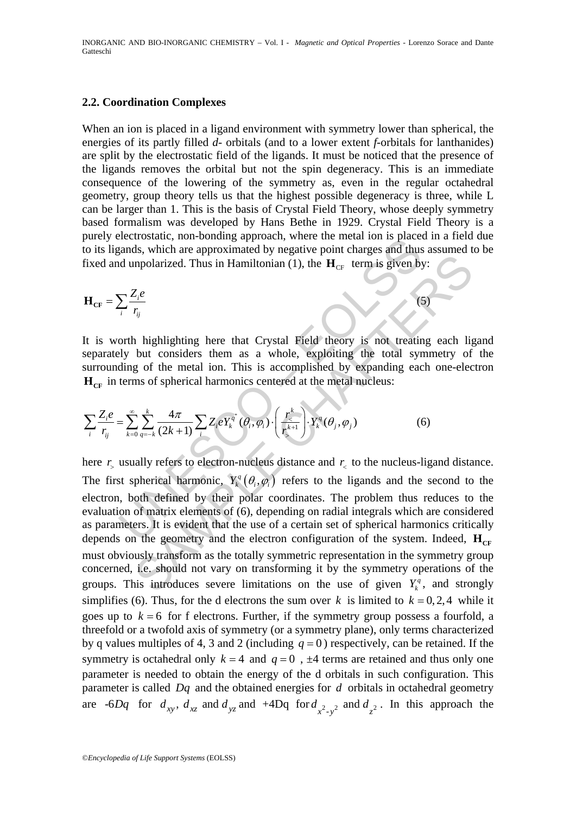### **2.2. Coordination Complexes**

When an ion is placed in a ligand environment with symmetry lower than spherical, the energies of its partly filled *d*- orbitals (and to a lower extent *f*-orbitals for lanthanides) are split by the electrostatic field of the ligands. It must be noticed that the presence of the ligands removes the orbital but not the spin degeneracy. This is an immediate consequence of the lowering of the symmetry as, even in the regular octahedral geometry, group theory tells us that the highest possible degeneracy is three, while L can be larger than 1. This is the basis of Crystal Field Theory, whose deeply symmetry based formalism was developed by Hans Bethe in 1929. Crystal Field Theory is a purely electrostatic, non-bonding approach, where the metal ion is placed in a field due to its ligands, which are approximated by negative point charges and thus assumed to be fixed and unpolarized. Thus in Hamiltonian (1), the  $H_{CF}$  term is given by:

$$
\mathbf{H}_{\rm CF} = \sum_{i} \frac{Z_i e}{r_{ij}} \tag{5}
$$

It is worth highlighting here that Crystal Field theory is not treating each ligand separately but considers them as a whole, exploiting the total symmetry of the surrounding of the metal ion. This is accomplished by expanding each one-electron  $H_{CF}$  in terms of spherical harmonics centered at the metal nucleus:

$$
\sum_{i} \frac{Z_i e}{r_{ij}} = \sum_{k=0}^{\infty} \sum_{q=-k}^{k} \frac{4\pi}{(2k+1)} \sum_{i} Z_i e Y_k^{q^i} (\theta_i, \varphi_i) \cdot \left(\frac{r_{\leq}^k}{r_{\geq}^{k+1}}\right) \cdot Y_k^q (\theta_j, \varphi_j)
$$
(6)

Example, which are approximated by negative point charges and thus<br>
and, which are approximated by negative point charges and thus<br>
dunpolarized. Thus in Hamiltonian (1), the  $\mathbf{H}_{CF}$  term is given by<br>  $\sum_{i} \frac{Z_{i}e}{r_{$ Example 1.1 Thus in Hamiltonian (1), the  $\mathbf{H}_{CF}$  term is given by:<br>  $\frac{Z_{c}\rho}{r_{ij}}$ <br>  $\frac{Z_{c}\rho}{r_{ij}}$ <br>
1. highlighting here that Crystal Field theory is not treating each lig<br>
but considers them as a whole, exploiting t here  $r<sub>z</sub>$  usually refers to electron-nucleus distance and  $r<sub>z</sub>$  to the nucleus-ligand distance. The first spherical harmonic,  $Y_k^q(\theta_i, \varphi_i)$  refers to the ligands and the second to the electron, both defined by their polar coordinates. The problem thus reduces to the evaluation of matrix elements of (6), depending on radial integrals which are considered as parameters. It is evident that the use of a certain set of spherical harmonics critically depends on the geometry and the electron configuration of the system. Indeed,  $\mathbf{H}_{CF}$ must obviously transform as the totally symmetric representation in the symmetry group concerned, i.e. should not vary on transforming it by the symmetry operations of the groups. This introduces severe limitations on the use of given  $Y_i^q$ , and strongly simplifies (6). Thus, for the d electrons the sum over *k* is limited to  $k = 0, 2, 4$  while it goes up to  $k = 6$  for f electrons. Further, if the symmetry group possess a fourfold, a threefold or a twofold axis of symmetry (or a symmetry plane), only terms characterized by q values multiples of 4, 3 and 2 (including  $q = 0$ ) respectively, can be retained. If the symmetry is octahedral only  $k = 4$  and  $q = 0$ ,  $\pm 4$  terms are retained and thus only one parameter is needed to obtain the energy of the d orbitals in such configuration. This parameter is called *Dq* and the obtained energies for *d* orbitals in octahedral geometry are  $-6Dq$  for  $d_{xy}$ ,  $d_{xz}$  and  $d_{yz}$  and  $+4Dq$  for  $d_{x^2-y^2}$  and  $d_{z^2}$ . In this approach the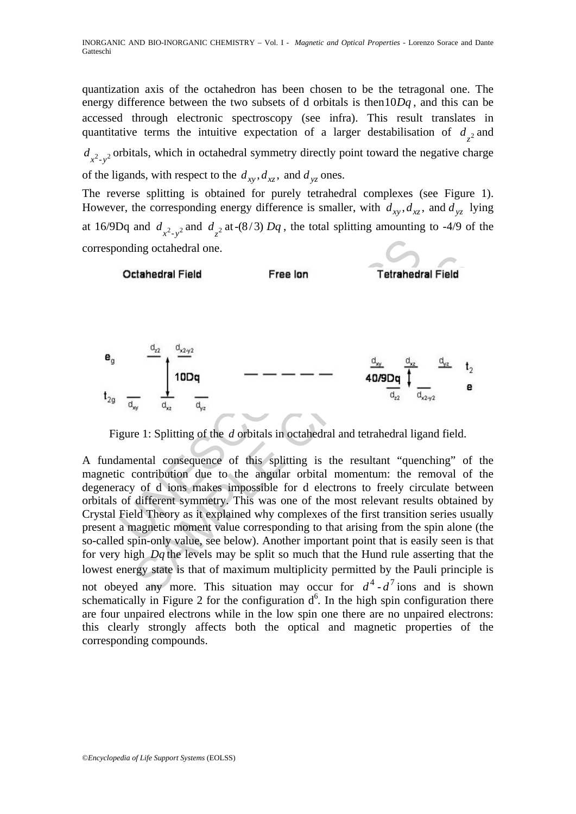quantization axis of the octahedron has been chosen to be the tetragonal one. The energy difference between the two subsets of d orbitals is then10*Dq* , and this can be accessed through electronic spectroscopy (see infra). This result translates in quantitative terms the intuitive expectation of a larger destabilisation of  $d_{z^2}$  and  $d_{x^2-y^2}$  orbitals, which in octahedral symmetry directly point toward the negative charge of the ligands, with respect to the  $d_{xy}$ ,  $d_{yz}$ , and  $d_{yz}$  ones.

The reverse splitting is obtained for purely tetrahedral complexes (see Figure 1). However, the corresponding energy difference is smaller, with  $d_{xy}$ ,  $d_{yz}$ , and  $d_{yz}$  lying at 16/9Dq and  $d_{x^2-y^2}$  and  $d_{z^2}$  at -(8/3) Dq, the total splitting amounting to -4/9 of the corresponding octahedral one.



Figure 1: Splitting of the *d* orbitals in octahedral and tetrahedral ligand field.

A fundamental consequence of this splitting is the resultant "quenching" of the magnetic contribution due to the angular orbital momentum: the removal of the degeneracy of d ions makes impossible for d electrons to freely circulate between orbitals of different symmetry. This was one of the most relevant results obtained by Crystal Field Theory as it explained why complexes of the first transition series usually present a magnetic moment value corresponding to that arising from the spin alone (the so-called spin-only value, see below). Another important point that is easily seen is that for very high *Dq* the levels may be split so much that the Hund rule asserting that the lowest energy state is that of maximum multiplicity permitted by the Pauli principle is not obeyed any more. This situation may occur for  $d^4$ - $d^7$  ions and is shown schematically in Figure 2 for the configuration  $d^6$ . In the high spin configuration there are four unpaired electrons while in the low spin one there are no unpaired electrons: this clearly strongly affects both the optical and magnetic properties of the corresponding compounds.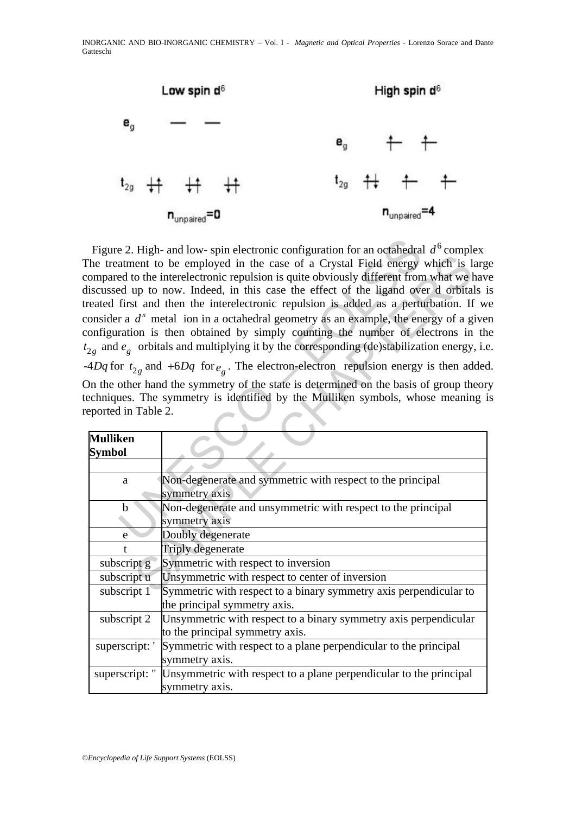

e 2. High- and low- spin electronic configuration for an octahedra<br>
atment to be employed in the case of a Crystal Field energy<br>
ed to the interelectronic repulsion is quite obviously different from<br>
ed up to now. Indeed, Figure 2. High- and low- spin electronic configuration for an octahedral  $d^6$  complex The treatment to be employed in the case of a Crystal Field energy which is large compared to the interelectronic repulsion is quite obviously different from what we have discussed up to now. Indeed, in this case the effect of the ligand over d orbitals is treated first and then the interelectronic repulsion is added as a perturbation. If we consider a  $d^n$  metal ion in a octahedral geometry as an example, the energy of a given configuration is then obtained by simply counting the number of electrons in the  $t_{2g}$  and  $e_g$  orbitals and multiplying it by the corresponding (de)stabilization energy, i.e.  $-4Dq$  for  $t_{2g}$  and  $+6Dq$  for  $e_g$ . The electron-electron repulsion energy is then added.

|                     | $\frac{1}{2}$ is a set of the state of $\frac{1}{2}$ in the complete complete of the counterful $\alpha$<br>The treatment to be employed in the case of a Crystal Field energy which is large<br>ompared to the interelectronic repulsion is quite obviously different from what we hav<br>iscussed up to now. Indeed, in this case the effect of the ligand over d orbitals i<br>reated first and then the interelectronic repulsion is added as a perturbation. If w<br>onsider a $dn$ metal ion in a octahedral geometry as an example, the energy of a give<br>onfiguration is then obtained by simply counting the number of electrons in th<br>$\mathcal{L}_2$ and $e_g$ orbitals and multiplying it by the corresponding (de)stabilization energy, i.e.<br>$4Dq$ for $t_{2g}$ and $+6Dq$ for $e_q$ . The electron-electron repulsion energy is then added<br>On the other hand the symmetry of the state is determined on the basis of group theor |  |  |
|---------------------|-----------------------------------------------------------------------------------------------------------------------------------------------------------------------------------------------------------------------------------------------------------------------------------------------------------------------------------------------------------------------------------------------------------------------------------------------------------------------------------------------------------------------------------------------------------------------------------------------------------------------------------------------------------------------------------------------------------------------------------------------------------------------------------------------------------------------------------------------------------------------------------------------------------------------------------------------------------|--|--|
|                     | echniques. The symmetry is identified by the Mulliken symbols, whose meaning i                                                                                                                                                                                                                                                                                                                                                                                                                                                                                                                                                                                                                                                                                                                                                                                                                                                                            |  |  |
| eported in Table 2. |                                                                                                                                                                                                                                                                                                                                                                                                                                                                                                                                                                                                                                                                                                                                                                                                                                                                                                                                                           |  |  |
| <b>Mulliken</b>     |                                                                                                                                                                                                                                                                                                                                                                                                                                                                                                                                                                                                                                                                                                                                                                                                                                                                                                                                                           |  |  |
| <b>Symbol</b>       |                                                                                                                                                                                                                                                                                                                                                                                                                                                                                                                                                                                                                                                                                                                                                                                                                                                                                                                                                           |  |  |
|                     |                                                                                                                                                                                                                                                                                                                                                                                                                                                                                                                                                                                                                                                                                                                                                                                                                                                                                                                                                           |  |  |
| $\mathbf{a}$        | Non-degenerate and symmetric with respect to the principal                                                                                                                                                                                                                                                                                                                                                                                                                                                                                                                                                                                                                                                                                                                                                                                                                                                                                                |  |  |
|                     | symmetry axis                                                                                                                                                                                                                                                                                                                                                                                                                                                                                                                                                                                                                                                                                                                                                                                                                                                                                                                                             |  |  |
| $\mathbf b$         | Non-degenerate and unsymmetric with respect to the principal                                                                                                                                                                                                                                                                                                                                                                                                                                                                                                                                                                                                                                                                                                                                                                                                                                                                                              |  |  |
|                     | symmetry axis                                                                                                                                                                                                                                                                                                                                                                                                                                                                                                                                                                                                                                                                                                                                                                                                                                                                                                                                             |  |  |
| e                   | Doubly degenerate                                                                                                                                                                                                                                                                                                                                                                                                                                                                                                                                                                                                                                                                                                                                                                                                                                                                                                                                         |  |  |
|                     | <b>Triply degenerate</b>                                                                                                                                                                                                                                                                                                                                                                                                                                                                                                                                                                                                                                                                                                                                                                                                                                                                                                                                  |  |  |
| subscript g         | Symmetric with respect to inversion                                                                                                                                                                                                                                                                                                                                                                                                                                                                                                                                                                                                                                                                                                                                                                                                                                                                                                                       |  |  |
| subscript u         | Unsymmetric with respect to center of inversion                                                                                                                                                                                                                                                                                                                                                                                                                                                                                                                                                                                                                                                                                                                                                                                                                                                                                                           |  |  |
| subscript 1         | Symmetric with respect to a binary symmetry axis perpendicular to                                                                                                                                                                                                                                                                                                                                                                                                                                                                                                                                                                                                                                                                                                                                                                                                                                                                                         |  |  |
|                     | the principal symmetry axis.                                                                                                                                                                                                                                                                                                                                                                                                                                                                                                                                                                                                                                                                                                                                                                                                                                                                                                                              |  |  |
| subscript 2         | Unsymmetric with respect to a binary symmetry axis perpendicular                                                                                                                                                                                                                                                                                                                                                                                                                                                                                                                                                                                                                                                                                                                                                                                                                                                                                          |  |  |
|                     | to the principal symmetry axis.                                                                                                                                                                                                                                                                                                                                                                                                                                                                                                                                                                                                                                                                                                                                                                                                                                                                                                                           |  |  |
| superscript: '      | Symmetric with respect to a plane perpendicular to the principal                                                                                                                                                                                                                                                                                                                                                                                                                                                                                                                                                                                                                                                                                                                                                                                                                                                                                          |  |  |
|                     | symmetry axis.                                                                                                                                                                                                                                                                                                                                                                                                                                                                                                                                                                                                                                                                                                                                                                                                                                                                                                                                            |  |  |
| superscript: "      | Unsymmetric with respect to a plane perpendicular to the principal                                                                                                                                                                                                                                                                                                                                                                                                                                                                                                                                                                                                                                                                                                                                                                                                                                                                                        |  |  |
|                     | symmetry axis.                                                                                                                                                                                                                                                                                                                                                                                                                                                                                                                                                                                                                                                                                                                                                                                                                                                                                                                                            |  |  |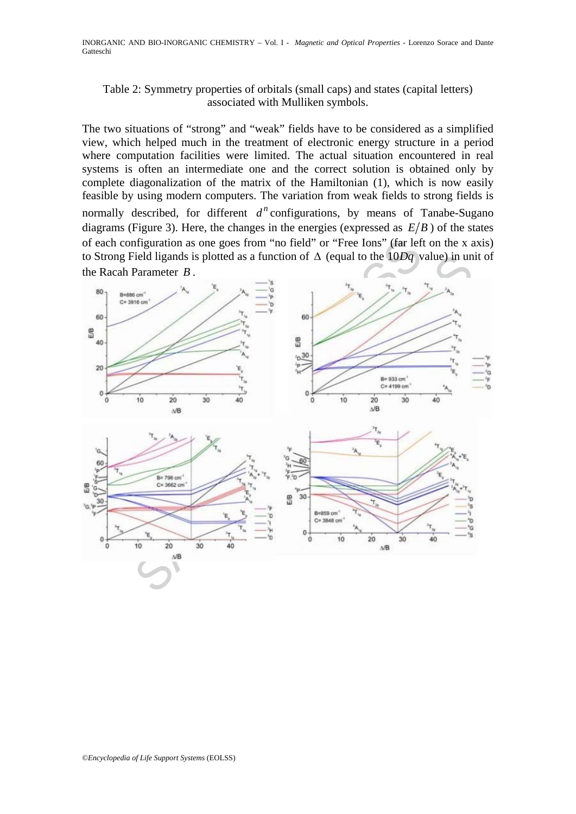# Table 2: Symmetry properties of orbitals (small caps) and states (capital letters) associated with Mulliken symbols.

The two situations of "strong" and "weak" fields have to be considered as a simplified view, which helped much in the treatment of electronic energy structure in a period where computation facilities were limited. The actual situation encountered in real systems is often an intermediate one and the correct solution is obtained only by complete diagonalization of the matrix of the Hamiltonian (1), which is now easily feasible by using modern computers. The variation from weak fields to strong fields is normally described, for different  $d^n$  configurations, by means of Tanabe-Sugano diagrams (Figure 3). Here, the changes in the energies (expressed as  $E/B$ ) of the states of each configuration as one goes from "no field" or "Free Ions" (far left on the x axis) to Strong Field ligands is plotted as a function of Δ (equal to the 10*Dq* value) in unit of the Racah Parameter *B* .

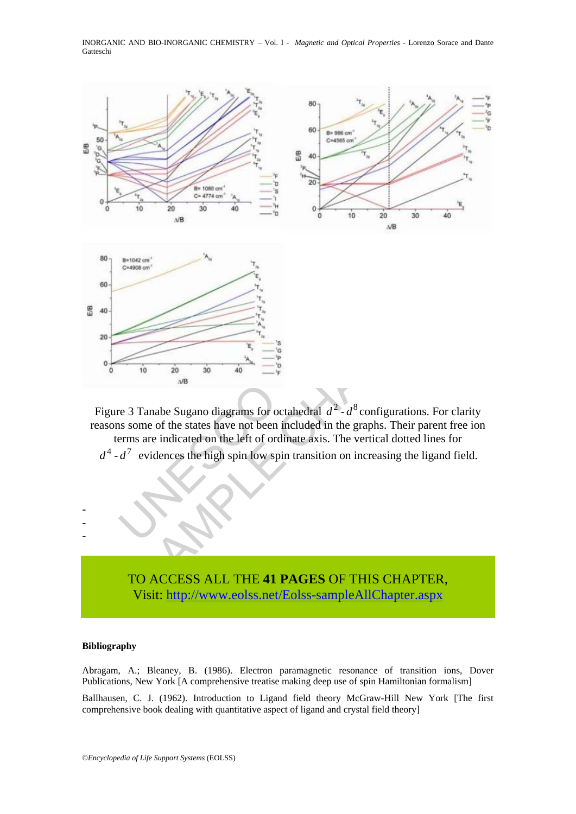INORGANIC AND BIO-INORGANIC CHEMISTRY – Vol. I - *Magnetic and Optical Properties* - Lorenzo Sorace and Dante Gatteschi



Figure 3 Tanabe Sugano diagrams for octahedral  $d^2$ - $d^8$  configurations. For clarity reasons some of the states have not been included in the graphs. Their parent free ion terms are indicated on the left of ordinate axis. The vertical dotted lines for

 $d^4$  -  $d^7$  evidences the high spin low spin transition on increasing the ligand field.



### **Bibliography**

- - -

Abragam, A.; Bleaney, B. (1986). Electron paramagnetic resonance of transition ions, Dover Publications, New York [A comprehensive treatise making deep use of spin Hamiltonian formalism]

Ballhausen, C. J. (1962). Introduction to Ligand field theory McGraw-Hill New York [The first comprehensive book dealing with quantitative aspect of ligand and crystal field theory]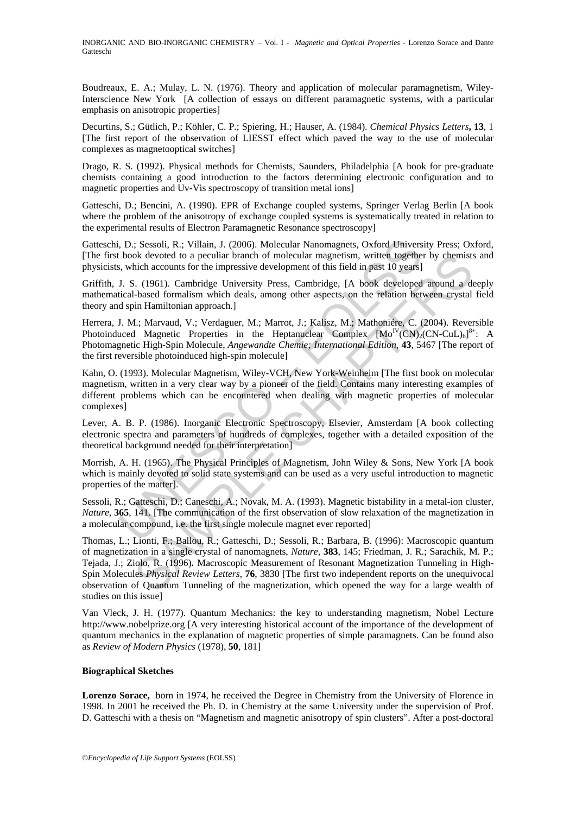Boudreaux, E. A.; Mulay, L. N. (1976). Theory and application of molecular paramagnetism, Wiley-Interscience New York [A collection of essays on different paramagnetic systems, with a particular emphasis on anisotropic properties]

Decurtins, S.; Gütlich, P.; Köhler, C. P.; Spiering, H.; Hauser, A. (1984). *Chemical Physics Letters***, 13**, 1 [The first report of the observation of LIESST effect which paved the way to the use of molecular complexes as magnetooptical switches]

Drago, R. S. (1992). Physical methods for Chemists, Saunders, Philadelphia [A book for pre-graduate chemists containing a good introduction to the factors determining electronic configuration and to magnetic properties and Uv-Vis spectroscopy of transition metal ions]

Gatteschi, D.; Bencini, A. (1990). EPR of Exchange coupled systems, Springer Verlag Berlin [A book where the problem of the anisotropy of exchange coupled systems is systematically treated in relation to the experimental results of Electron Paramagnetic Resonance spectroscopy]

Gatteschi, D.; Sessoli, R.; Villain, J. (2006). Molecular Nanomagnets, Oxford University Press; Oxford, [The first book devoted to a peculiar branch of molecular magnetism, written together by chemists and physicists, which accounts for the impressive development of this field in past 10 years]

Griffith, J. S. (1961). Cambridge University Press, Cambridge, [A book developed around a deeply mathematical-based formalism which deals, among other aspects, on the relation between crystal field theory and spin Hamiltonian approach.]

, D.; Sessoli, R.; Villain, J. (2006). Molecular Nanomagnets, Oxford Univers<br>
book devoted to a peculiar branch of molecular magnetism, written togethe<br>
s, which accounts for the impessive development of this field in pas Herrera, J. M.; Marvaud, V.; Verdaguer, M.; Marrot, J.; Kalisz, M.; Mathoniére, C. (2004). Reversible Photoinduced Magnetic Properties in the Heptanuclear Complex  $[Mo<sup>IV</sup>(CN)<sub>2</sub>(CN-CuL)<sub>6</sub>]<sup>8+</sup>$ : A Photomagnetic High-Spin Molecule, *Angewandte Chemie; International Edition*, **43**, 5467 [The report of the first reversible photoinduced high-spin molecule]

Kahn, O. (1993). Molecular Magnetism, Wiley-VCH, New York-Weinheim [The first book on molecular magnetism, written in a very clear way by a pioneer of the field. Contains many interesting examples of different problems which can be encountered when dealing with magnetic properties of molecular complexes]

Lever, A. B. P. (1986). Inorganic Electronic Spectroscopy, Elsevier, Amsterdam [A book collecting electronic spectra and parameters of hundreds of complexes, together with a detailed exposition of the theoretical background needed for their interpretation]

Morrish, A. H. (1965). The Physical Principles of Magnetism, John Wiley & Sons, New York [A book which is mainly devoted to solid state systems and can be used as a very useful introduction to magnetic properties of the matter].

Sessoli, R.; Gatteschi, D.; Caneschi, A.; Novak, M. A. (1993). Magnetic bistability in a metal-ion cluster, *Nature*, **365**, 141. [The communication of the first observation of slow relaxation of the magnetization in a molecular compound, i.e. the first single molecule magnet ever reported]

ok deveded to a peculiar branch of molecular magnetism, written together by chemists<br>of deveded to a peculiar branch of molecular magnetism, written together by<br>chapter above development of this field in past 10 years]<br>. Thomas, L.; Lionti, F.; Ballou, R.; Gatteschi, D.; Sessoli, R.; Barbara, B. (1996): Macroscopic quantum of magnetization in a single crystal of nanomagnets, *Nature*, **383**, 145; Friedman, J. R.; Sarachik, M. P.; Tejada, J.; Ziolo, R. (1996)**.** Macroscopic Measurement of Resonant Magnetization Tunneling in High-Spin Molecules *Physical Review Letters*, **76**, 3830 [The first two independent reports on the unequivocal observation of Quantum Tunneling of the magnetization, which opened the way for a large wealth of studies on this issue]

Van Vleck, J. H. (1977). Quantum Mechanics: the key to understanding magnetism, Nobel Lecture http://www.nobelprize.org [A very interesting historical account of the importance of the development of quantum mechanics in the explanation of magnetic properties of simple paramagnets. Can be found also as *Review of Modern Physics* (1978), **50**, 181]

### **Biographical Sketches**

**Lorenzo Sorace,** born in 1974, he received the Degree in Chemistry from the University of Florence in 1998. In 2001 he received the Ph. D. in Chemistry at the same University under the supervision of Prof. D. Gatteschi with a thesis on "Magnetism and magnetic anisotropy of spin clusters". After a post-doctoral